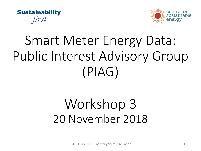



# Smart Meter Energy Data: Public Interest Advisory Group (PIAG)

# Workshop 3 20 November 2018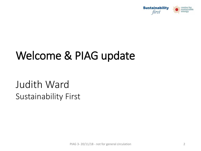

# Welcome & PIAG update

## Judith Ward Sustainability First

PIAG 3- 20/11/18 - not for general circulation 2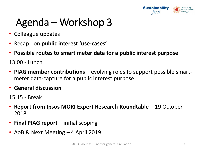

## Agenda – Workshop 3

- Colleague updates
- Recap on **public interest 'use-cases'**
- **Possible routes to smart meter data for a public interest purpose**

13.00 - Lunch

- **PIAG member contributions**  evolving roles to support possible smartmeter data-capture for a public interest purpose
- **General discussion**

15.15 - Break

- **Report from Ipsos MORI Expert Research Roundtable**  19 October 2018
- **Final PIAG report**  initial scoping
- AoB & Next Meeting 4 April 2019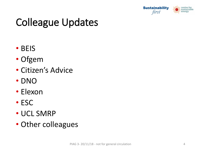

## Colleague Updates

- BEIS
- Ofgem
- Citizen's Advice
- DNO
- Elexon
- ESC
- UCL SMRP
- Other colleagues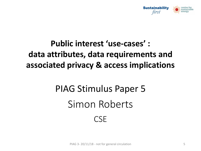

## **Public interest 'use-cases' : data attributes, data requirements and associated privacy & access implications**

# PIAG Stimulus Paper 5 Simon Roberts CSE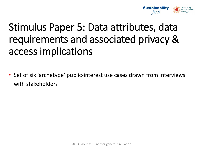

## Stimulus Paper 5: Data attributes, data requirements and associated privacy & access implications

• Set of six 'archetype' public-interest use cases drawn from interviews with stakeholders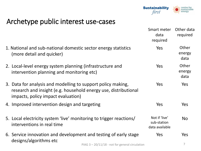

#### Archetype public interest use-cases

|                                                                                                                                                                       | Smart meter<br>data<br>required                | Other data<br>required  |
|-----------------------------------------------------------------------------------------------------------------------------------------------------------------------|------------------------------------------------|-------------------------|
| 1. National and sub-national domestic sector energy statistics<br>(more detail and quicker)                                                                           | Yes                                            | Other<br>energy<br>data |
| 2. Local-level energy system planning (infrastructure and<br>intervention planning and monitoring etc)                                                                | <b>Yes</b>                                     | Other<br>energy<br>data |
| 3. Data for analysis and modelling to support policy making,<br>research and insight (e.g. household energy use, distributional<br>impacts, policy impact evaluation) | <b>Yes</b>                                     | <b>Yes</b>              |
| 4. Improved intervention design and targeting                                                                                                                         | Yes                                            | Yes                     |
| 5. Local electricity system 'live' monitoring to trigger reactions/<br>interventions in real time                                                                     | Not if 'live'<br>sub-station<br>data available | <b>No</b>               |
| 6. Service innovation and development and testing of early stage<br>designs/algorithms etc<br>PIAG 3 - 20/11/18 - not for general circulation                         | <b>Yes</b>                                     | Yes<br>7                |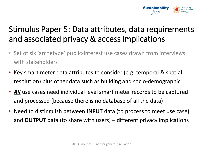

## Stimulus Paper 5: Data attributes, data requirements and associated privacy & access implications

- Set of six 'archetype' public-interest use cases drawn from interviews with stakeholders
- Key smart meter data attributes to consider (e.g. temporal & spatial resolution) plus other data such as building and socio-demographic
- *All* use cases need individual level smart meter records to be captured and processed (because there is no database of all the data)
- Need to distinguish between **INPUT** data (to process to meet use case) and **OUTPUT** data (to share with users) – different privacy implications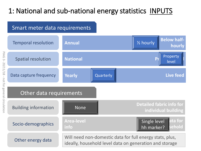### 1: National and sub-national energy statistics INPUTS

#### Smart meter data requirements

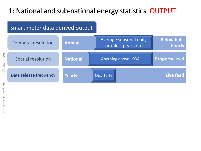### 1: National and sub-national energy statistics OUTPUT

#### Smart meter data derived output

| <b>Temporal resolution</b> | <b>Annual</b>   | Average seasonal daily<br>profiles, peaks etc | <b>Below half-</b><br>hourly |
|----------------------------|-----------------|-----------------------------------------------|------------------------------|
| <b>Spatial resolution</b>  | <b>National</b> | Anything above LSOA                           | <b>Property level</b>        |
| Data release frequency     | <b>Yearly</b>   | Quarterly                                     | Live feed                    |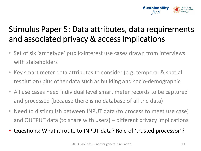

## Stimulus Paper 5: Data attributes, data requirements and associated privacy & access implications

- Set of six 'archetype' public-interest use cases drawn from interviews with stakeholders
- Key smart meter data attributes to consider (e.g. temporal & spatial resolution) plus other data such as building and socio-demographic
- All use cases need individual level smart meter records to be captured and processed (because there is no database of all the data)
- Need to distinguish between INPUT data (to process to meet use case) and OUTPUT data (to share with users) – different privacy implications
- Questions: What is route to INPUT data? Role of 'trusted processor'?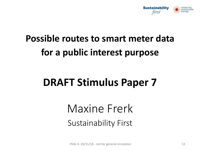

## **Possible routes to smart meter data for a public interest purpose**

## **DRAFT Stimulus Paper 7**

## Maxine Frerk Sustainability First

PIAG 3- 20/11/18 - not for general circulation 12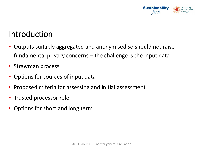

### Introduction

- Outputs suitably aggregated and anonymised so should not raise fundamental privacy concerns – the challenge is the input data
- Strawman process
- Options for sources of input data
- Proposed criteria for assessing and initial assessment
- Trusted processor role
- Options for short and long term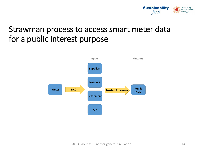

### Strawman process to access smart meter data for a public interest purpose

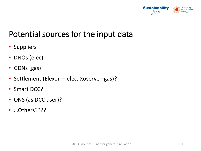

## Potential sources for the input data

- Suppliers
- DNOs (elec)
- GDNs (gas)
- Settlement (Elexon elec, Xoserve –gas)?
- Smart DCC?
- ONS (as DCC user)?
- …Others????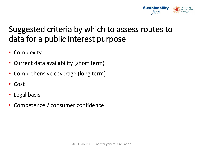

## Suggested criteria by which to assess routes to data for a public interest purpose

- **Complexity**
- Current data availability (short term)
- Comprehensive coverage (long term)
- Cost
- Legal basis
- Competence / consumer confidence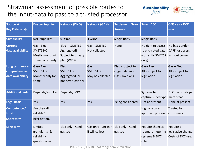#### Strawman assessment of possible routes to the input-data to pass to a trusted processor



| Source $\rightarrow$<br>Key Criteria $\downarrow$    | <b>Energy Supplier</b>                                         | <b>Network (DNO)</b>                                              | <b>Network (GDN)</b>                  | Settlement Elexon Smart DCC<br><b>Xoserve</b>         |                                                                                         | <b>ONS - as a DCC</b><br>user                         |
|------------------------------------------------------|----------------------------------------------------------------|-------------------------------------------------------------------|---------------------------------------|-------------------------------------------------------|-----------------------------------------------------------------------------------------|-------------------------------------------------------|
| <b>Complexity</b>                                    | $60+$ suppliers                                                | 6 DNO <sub>s</sub>                                                | 4 GDNs                                | Single body                                           | Single body                                                                             |                                                       |
| <b>Current</b><br>data availability                  | Gas+ Elec<br>$SMETS1+2$<br>Mostly monthly/<br>some half-hourly | Elec<br>SMETS2<br>Aggregated?<br>Subject to privacy<br>plan (WPD) | SMETS2<br>Gas<br>Not collected        | None                                                  | No right to access<br>to encrypted data<br>(currently SMETS2   without consent<br>only) | No basis under<br>DAPF for access                     |
| Long term more<br>comprehensive<br>data availability | <b>Gas+ Elec</b><br>$SMETS1+2$<br>Monthly only for<br>some     | <b>Elec</b><br>$SMETS1+2$<br>Aggregated (or<br>pre destruction?)  | Gas<br>$SMETS1+2$<br>May be collected | Elec - subject to<br>Ofgem decision<br>Gas - No plans | <b>Gas+ Elec</b><br>All - subject to<br>legislation                                     | <b>Gas + Elec</b><br>All - subject to<br>legislation  |
| <b>Additional costs</b>                              | Depends/supplier                                               | Depends/DNO                                                       |                                       |                                                       | Systems to<br>capture & decrypt                                                         | DCC user costs per<br>meter read                      |
| <b>Legal Basis</b>                                   | Yes                                                            | Yes                                                               | Yes                                   | Being considered                                      | Not at present                                                                          | None at present                                       |
| Competence /<br>trust                                | Are they all<br>reliable?                                      |                                                                   |                                       |                                                       | Highly secure<br>approved process                                                       | Trusted by<br>consumers                               |
| <b>Short term</b>                                    | Best option?                                                   |                                                                   |                                       |                                                       |                                                                                         |                                                       |
| Long term                                            | Limited<br>granularity &<br>reliability<br>questionable        | Elec only - need<br>gas too                                       | Gas only - unclear<br>if will collect | Elec only - need<br>gas too                           | Require changes<br>to smart metering<br>systems & DCC<br>role.                          | Require a<br>legislative change.<br>Costs of DCC use. |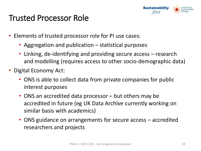

## Trusted Processor Role

- Elements of trusted processor role for PI use cases:
	- Aggregation and publication statistical purposes
	- Linking, de-identifying and providing secure access research and modelling (requires access to other socio-demographic data)
- Digital Economy Act:
	- ONS is able to collect data from private companies for public interest purposes
	- ONS an accredited data processor but others may be accredited in future (eg UK Data Archive currently working on similar basis with academics)
	- ONS guidance on arrangements for secure access accredited researchers and projects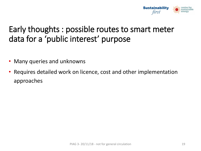

## Early thoughts : possible routes to smart meter data for a 'public interest' purpose

- Many queries and unknowns
- Requires detailed work on licence, cost and other implementation approaches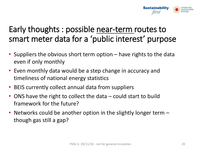

## Early thoughts : possible near-term routes to smart meter data for a 'public interest' purpose

- Suppliers the obvious short term option have rights to the data even if only monthly
- Even monthly data would be a step change in accuracy and timeliness of national energy statistics
- BEIS currently collect annual data from suppliers
- ONS have the right to collect the data could start to build framework for the future?
- Networks could be another option in the slightly longer term though gas still a gap?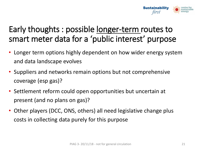

## Early thoughts : possible longer-term routes to smart meter data for a 'public interest' purpose

- Longer term options highly dependent on how wider energy system and data landscape evolves
- Suppliers and networks remain options but not comprehensive coverage (esp gas)?
- Settlement reform could open opportunities but uncertain at present (and no plans on gas)?
- Other players (DCC, ONS, others) all need legislative change plus costs in collecting data purely for this purpose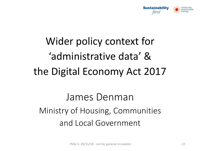

# Wider policy context for 'administrative data' & the Digital Economy Act 2017

James Denman Ministry of Housing, Communities and Local Government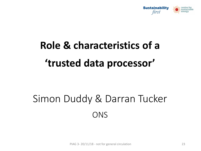

# **Role & characteristics of a 'trusted data processor'**

## Simon Duddy & Darran Tucker ONS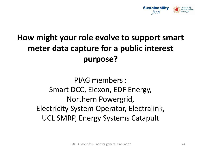

## **How might your role evolve to support smart meter data capture for a public interest purpose?**

PIAG members : Smart DCC, Elexon, EDF Energy, Northern Powergrid, Electricity System Operator, Electralink, UCL SMRP, Energy Systems Catapult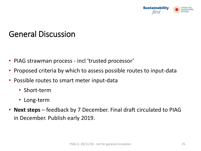

### General Discussion

- PIAG strawman process incl 'trusted processor'
- Proposed criteria by which to assess possible routes to input-data
- Possible routes to smart meter input-data
	- Short-term
	- Long-term
- **Next steps**  feedback by 7 December. Final draft circulated to PIAG in December. Publish early 2019.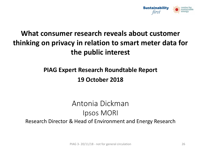

### **What consumer research reveals about customer thinking on privacy in relation to smart meter data for the public interest**

#### **PIAG Expert Research Roundtable Report 19 October 2018**

### Antonia Dickman Ipsos MORI Research Director & Head of Environment and Energy Research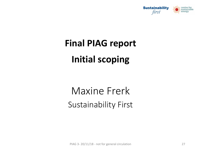

# **Final PIAG report Initial scoping**

## Maxine Frerk Sustainability First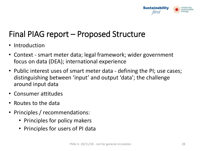

## Final PIAG report – Proposed Structure

- Introduction
- Context smart meter data; legal framework; wider government focus on data (DEA); international experience
- Public interest uses of smart meter data defining the PI; use cases; distinguishing between 'input' and output 'data'; the challenge around input data
- Consumer attitudes
- Routes to the data
- Principles / recommendations:
	- Principles for policy makers
	- Principles for users of PI data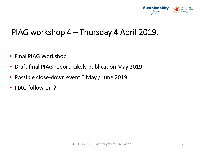

## PIAG workshop 4 – Thursday 4 April 2019.

- Final PIAG Workshop
- Draft final PIAG report. Likely publication May 2019
- Possible close-down event ? May / June 2019
- PIAG follow-on?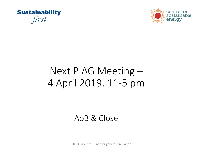



## Next PIAG Meeting – 4 April 2019. 11-5 pm

#### AoB & Close

PIAG 3-20/11/18 - not for general circulation 30